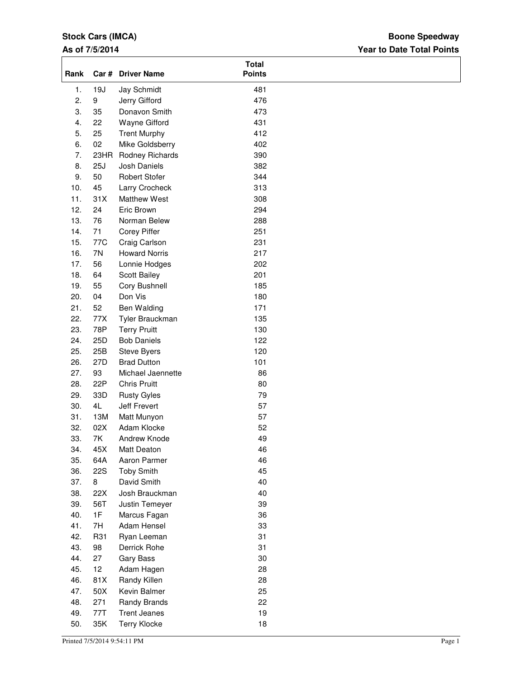## **Stock Cars (IMCA)**

## **As of 7/5/2014**

## **Year to Date Total Points Boone Speedway**

| Rank             |            | Car # Driver Name    | <b>Total</b><br><b>Points</b> |  |
|------------------|------------|----------------------|-------------------------------|--|
| 1.               | 19J        | Jay Schmidt          | 481                           |  |
| 2.               | 9          | Jerry Gifford        | 476                           |  |
| 3.               | 35         | Donavon Smith        | 473                           |  |
| $\overline{4}$ . | 22         | Wayne Gifford        | 431                           |  |
| 5.               | 25         | <b>Trent Murphy</b>  | 412                           |  |
| 6.               | 02         | Mike Goldsberry      | 402                           |  |
| 7.               | 23HR       | Rodney Richards      | 390                           |  |
| 8.               | 25J        | Josh Daniels         | 382                           |  |
| 9.               | 50         | <b>Robert Stofer</b> | 344                           |  |
| 10.              | 45         | Larry Crocheck       | 313                           |  |
| 11.              | 31X        | <b>Matthew West</b>  | 308                           |  |
| 12.              | 24         | Eric Brown           | 294                           |  |
| 13.              | 76         | Norman Belew         | 288                           |  |
| 14.              | 71         | <b>Corey Piffer</b>  | 251                           |  |
| 15.              | 77C        | Craig Carlson        | 231                           |  |
| 16.              | 7N         | <b>Howard Norris</b> | 217                           |  |
| 17.              | 56         | Lonnie Hodges        | 202                           |  |
| 18.              | 64         | Scott Bailey         | 201                           |  |
| 19.              | 55         | Cory Bushnell        | 185                           |  |
| 20.              | 04         | Don Vis              | 180                           |  |
| 21.              | 52         | Ben Walding          | 171                           |  |
| 22.              | 77X        | Tyler Brauckman      | 135                           |  |
| 23.              | 78P        | <b>Terry Pruitt</b>  | 130                           |  |
| 24.              | 25D        | <b>Bob Daniels</b>   | 122                           |  |
| 25.              | 25B        | Steve Byers          | 120                           |  |
| 26.              | 27D        | <b>Brad Dutton</b>   | 101                           |  |
| 27.              | 93         | Michael Jaennette    | 86                            |  |
| 28.              | 22P        | <b>Chris Pruitt</b>  | 80                            |  |
| 29.              | 33D        | <b>Rusty Gyles</b>   | 79                            |  |
| 30.              | 4L         | Jeff Frevert         | 57                            |  |
| 31.              | 13M        | Matt Munyon          | 57                            |  |
| 32.              | 02X        | Adam Klocke          | 52                            |  |
| 33.              | 7K         | Andrew Knode         | 49                            |  |
| 34.              | 45X        | Matt Deaton          | 46                            |  |
| 35.              | 64A        | Aaron Parmer         | 46                            |  |
| 36.              | <b>22S</b> | <b>Toby Smith</b>    | 45                            |  |
| 37.              | 8          | David Smith          | 40                            |  |
| 38.              | 22X        | Josh Brauckman       | 40                            |  |
| 39.              | 56T        | Justin Temeyer       | 39                            |  |
| 40.              | 1F         | Marcus Fagan         | 36                            |  |
| 41.              | 7H         | Adam Hensel          | 33                            |  |
| 42.              | R31        | Ryan Leeman          | 31                            |  |
| 43.              | 98         | Derrick Rohe         | 31                            |  |
| 44.              | 27         | Gary Bass            | 30                            |  |
| 45.              | 12         | Adam Hagen           | 28                            |  |
| 46.              | 81X        | Randy Killen         | 28                            |  |
| 47.              | 50X        | Kevin Balmer         | 25                            |  |
| 48.              | 271        | Randy Brands         | 22                            |  |
| 49.              | 77T        | <b>Trent Jeanes</b>  | 19                            |  |
| 50.              | 35K        | <b>Terry Klocke</b>  | 18                            |  |